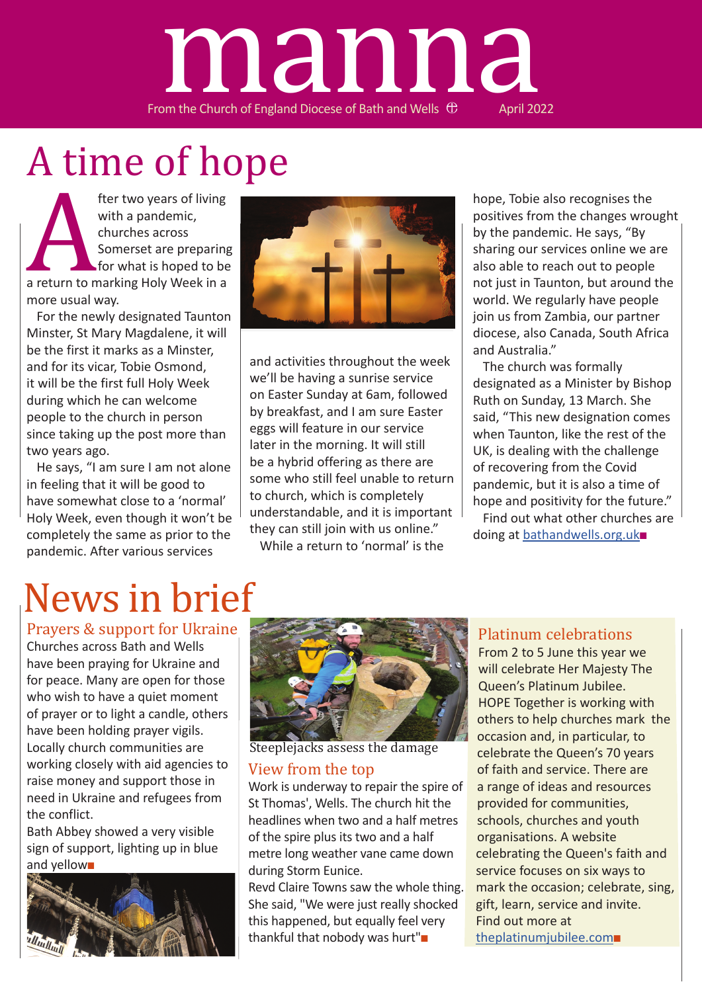# From the Church of England Diocese of Bath and Wells  $\oplus$  April 2022 manna

# A time of hope

fter two years of living<br>with a pandemic,<br>churches across<br>Somerset are preparing<br>for what is hoped to be<br>a return to marking Holy Week in a<br>more usual way.<br>For the newly designated Tauntor with a pandemic, churches across Somerset are preparing for what is hoped to be a return to marking Holy Week in a more usual way.

For the newly designated Taunton Minster, St Mary Magdalene, it will be the first it marks as a Minster, and for its vicar, Tobie Osmond, it will be the first full Holy Week during which he can welcome people to the church in person since taking up the post more than two years ago.

He says, "I am sure I am not alone in feeling that it will be good to have somewhat close to a 'normal' Holy Week, even though it won't be completely the same as prior to the pandemic. After various services



and activities throughout the week we'll be having a sunrise service on Easter Sunday at 6am, followed by breakfast, and I am sure Easter eggs will feature in our service later in the morning. It will still be a hybrid offering as there are some who still feel unable to return to church, which is completely understandable, and it is important they can still join with us online."

While a return to 'normal' is the

hope, Tobie also recognises the positives from the changes wrought by the pandemic. He says, "By sharing our services online we are also able to reach out to people not just in Taunton, but around the world. We regularly have people join us from Zambia, our partner diocese, also Canada, South Africa and Australia."

The church was formally designated as a Minister by Bishop Ruth on Sunday, 13 March. She said, "This new designation comes when Taunton, like the rest of the UK, is dealing with the challenge of recovering from the Covid pandemic, but it is also a time of hope and positivity for the future."

Find out what other churches are doing at bathandwells.org.uk■

# News in brief

Prayers & support for Ukraine

Churches across Bath and Wells have been praying for Ukraine and for peace. Many are open for those who wish to have a quiet moment of prayer or to light a candle, others have been holding prayer vigils. Locally church communities are working closely with aid agencies to raise money and support those in need in Ukraine and refugees from the conflict.

Bath Abbey showed a very visible sign of support, lighting up in blue and yellow■





Steeplejacks assess the damage

#### View from the top

Work is underway to repair the spire of St Thomas', Wells. The church hit the headlines when two and a half metres of the spire plus its two and a half metre long weather vane came down during Storm Eunice.

Revd Claire Towns saw the whole thing. She said, "We were just really shocked this happened, but equally feel very thankful that nobody was hurt"■

#### Platinum celebrations

From 2 to 5 June this year we will celebrate Her Majesty The Queen's Platinum Jubilee. HOPE Together is working with others to help churches mark the occasion and, in particular, to celebrate the Queen's 70 years of faith and service. There are a range of ideas and resources provided for communities, schools, churches and youth organisations. A website celebrating the Queen's faith and service focuses on six ways to mark the occasion; celebrate, sing, gift, learn, service and invite. Find out more at theplatinumjubilee.com■